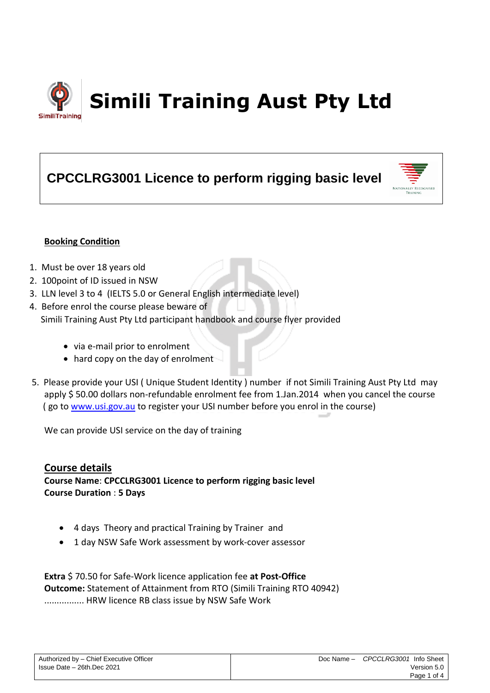

# **CPCCLRG3001 Licence to perform rigging basic level**



## **Booking Condition**

- 1. Must be over 18 years old
- 2. 100point of ID issued in NSW
- 3. LLN level 3 to 4 (IELTS 5.0 or General English intermediate level)
- 4. Before enrol the course please beware of Simili Training Aust Pty Ltd participant handbook and course flyer provided
	- via e-mail prior to enrolment
	- hard copy on the day of enrolment
- 5. Please provide your USI ( Unique Student Identity ) number if not Simili Training Aust Pty Ltd may apply \$ 50.00 dollars non-refundable enrolment fee from 1.Jan.2014 when you cancel the course ( go to [www.usi.gov.au](http://www.usi.gov.au/) to register your USI number before you enrol in the course)

We can provide USI service on the day of training

## **Course details**

**Course Name**: **CPCCLRG3001 Licence to perform rigging basic level Course Duration** : **5 Days**

- 4 days Theory and practical Training by Trainer and
- 1 day NSW Safe Work assessment by work-cover assessor

**Extra** \$ 70.50 for Safe-Work licence application fee **at Post-Office Outcome:** Statement of Attainment from RTO (Simili Training RTO 40942) ................ HRW licence RB class issue by NSW Safe Work

| Authorized by - Chief Executive Officer |
|-----------------------------------------|
| Issue Date - 26th.Dec 2021              |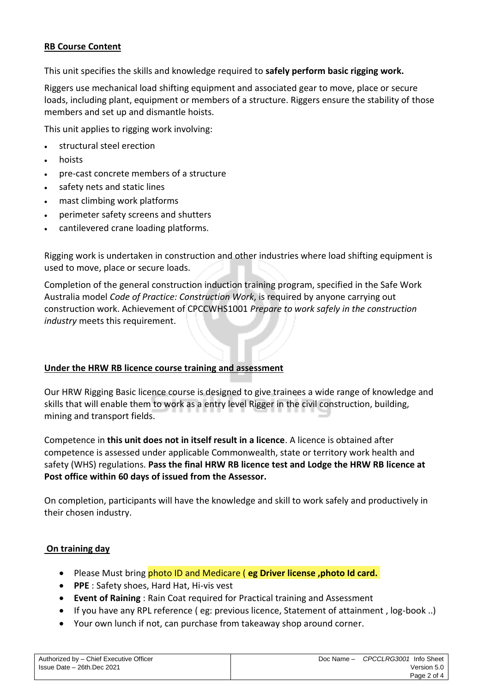## **RB Course Content**

This unit specifies the skills and knowledge required to **safely perform basic rigging work.**

Riggers use mechanical load shifting equipment and associated gear to move, place or secure loads, including plant, equipment or members of a structure. Riggers ensure the stability of those members and set up and dismantle hoists.

This unit applies to rigging work involving:

- structural steel erection
- hoists
- pre-cast concrete members of a structure
- safety nets and static lines
- mast climbing work platforms
- perimeter safety screens and shutters
- cantilevered crane loading platforms.

Rigging work is undertaken in construction and other industries where load shifting equipment is used to move, place or secure loads.

Completion of the general construction induction training program, specified in the Safe Work Australia model *Code of Practice: Construction Work*, is required by anyone carrying out construction work. Achievement of CPCCWHS1001 *Prepare to work safely in the construction industry* meets this requirement.

## **Under the HRW RB licence course training and assessment**

Our HRW Rigging Basic licence course is designed to give trainees a wide range of knowledge and skills that will enable them to work as a entry level Rigger in the civil construction, building, mining and transport fields.

Competence in **this unit does not in itself result in a licence**. A licence is obtained after competence is assessed under applicable Commonwealth, state or territory work health and safety (WHS) regulations. **Pass the final HRW RB licence test and Lodge the HRW RB licence at Post office within 60 days of issued from the Assessor.**

On completion, participants will have the knowledge and skill to work safely and productively in their chosen industry.

#### **On training day**

- Please Must bring photo ID and Medicare ( **eg Driver license ,photo Id card.**
- **PPE** : Safety shoes, Hard Hat, Hi-vis vest
- **Event of Raining** : Rain Coat required for Practical training and Assessment
- If you have any RPL reference ( eg: previous licence, Statement of attainment , log-book ..)
- Your own lunch if not, can purchase from takeaway shop around corner.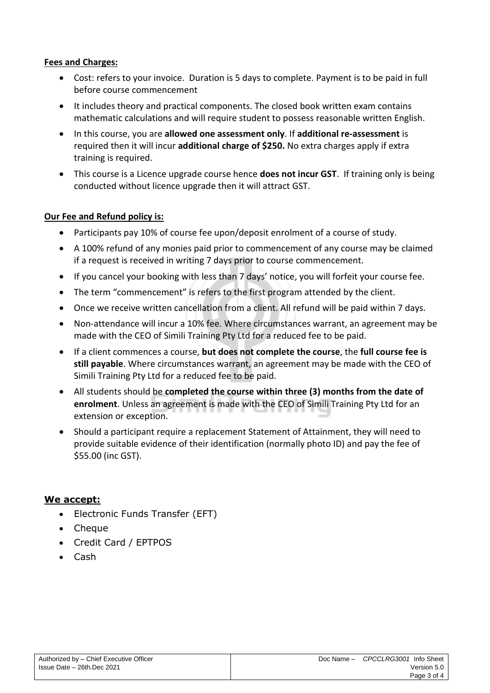### **Fees and Charges:**

- Cost: refers to your invoice. Duration is 5 days to complete. Payment is to be paid in full before course commencement
- It includes theory and practical components. The closed book written exam contains mathematic calculations and will require student to possess reasonable written English.
- In this course, you are **allowed one assessment only**. If **additional re-assessment** is required then it will incur **additional charge of \$250.** No extra charges apply if extra training is required.
- This course is a Licence upgrade course hence **does not incur GST**. If training only is being conducted without licence upgrade then it will attract GST.

## **Our Fee and Refund policy is:**

- Participants pay 10% of course fee upon/deposit enrolment of a course of study.
- A 100% refund of any monies paid prior to commencement of any course may be claimed if a request is received in writing 7 days prior to course commencement.
- If you cancel your booking with less than 7 days' notice, you will forfeit your course fee.
- The term "commencement" is refers to the first program attended by the client.
- Once we receive written cancellation from a client. All refund will be paid within 7 days.
- Non-attendance will incur a 10% fee. Where circumstances warrant, an agreement may be made with the CEO of Simili Training Pty Ltd for a reduced fee to be paid.
- If a client commences a course, **but does not complete the course**, the **full course fee is still payable**. Where circumstances warrant, an agreement may be made with the CEO of Simili Training Pty Ltd for a reduced fee to be paid.
- All students should be **completed the course within three (3) months from the date of enrolment**. Unless an agreement is made with the CEO of Simili Training Pty Ltd for an extension or exception.
- Should a participant require a replacement Statement of Attainment, they will need to provide suitable evidence of their identification (normally photo ID) and pay the fee of \$55.00 (inc GST).

## **We accept:**

- Electronic Funds Transfer (EFT)
- Cheque
- Credit Card / EPTPOS
- Cash